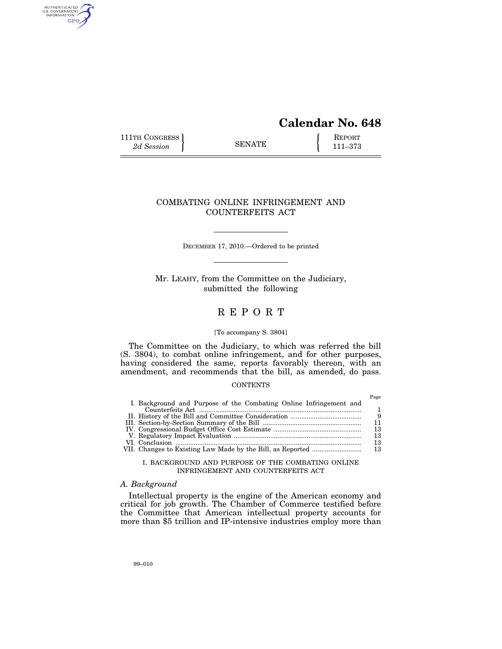# **Calendar No. 648**

111TH CONGRESS **REPORT** 2d Session **111 EXECUTE 111**–373

AUTHENTICATED<br>U.S. GOVERNMENT<br>INFORMATION GPO

# COMBATING ONLINE INFRINGEMENT AND COUNTERFEITS ACT

DECEMBER 17, 2010.—Ordered to be printed

Mr. LEAHY, from the Committee on the Judiciary, submitted the following

# R E P O R T

## [To accompany S. 3804]

The Committee on the Judiciary, to which was referred the bill (S. 3804), to combat online infringement, and for other purposes, having considered the same, reports favorably thereon, with an amendment, and recommends that the bill, as amended, do pass.

## **CONTENTS**

|                                                                    | Page |
|--------------------------------------------------------------------|------|
| I. Background and Purpose of the Combating Online Infringement and |      |
|                                                                    | 1.   |
|                                                                    | - 9  |
|                                                                    |      |
|                                                                    | 13   |
|                                                                    | 13   |
|                                                                    | 13   |
|                                                                    | 13   |
|                                                                    |      |

I. BACKGROUND AND PURPOSE OF THE COMBATING ONLINE INFRINGEMENT AND COUNTERFEITS ACT

# *A. Background*

Intellectual property is the engine of the American economy and critical for job growth. The Chamber of Commerce testified before the Committee that American intellectual property accounts for more than \$5 trillion and IP-intensive industries employ more than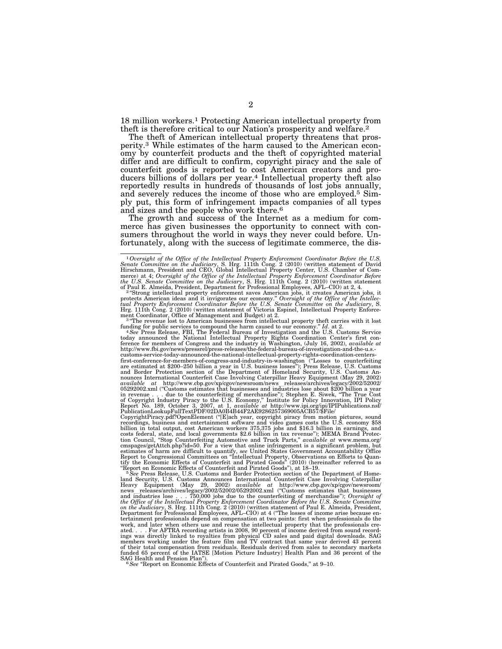18 million workers.1 Protecting American intellectual property from theft is therefore critical to our Nation's prosperity and welfare.2

The theft of American intellectual property threatens that prosperity.3 While estimates of the harm caused to the American economy by counterfeit products and the theft of copyrighted material differ and are difficult to confirm, copyright piracy and the sale of counterfeit goods is reported to cost American creators and producers billions of dollars per year.4 Intellectual property theft also reportedly results in hundreds of thousands of lost jobs annually, and severely reduces the income of those who are employed.5 Simply put, this form of infringement impacts companies of all types and sizes and the people who work there.6

The growth and success of the Internet as a medium for commerce has given businesses the opportunity to connect with consumers throughout the world in ways they never could before. Unfortunately, along with the success of legitimate commerce, the dis-

funding for public services to compound the harm caused to our economy."  $Id$ . at 2.<br>  $^4$  See Press Release, FBI, The Federal Bureau of Investigation and the U.S. Customs Service<br>
today announced the National Intellectual http://www.fbi.gov/news/pressrel/press-releases/the-federal-bureau-of-investigation-and-the-u.s.- customs-service-today-announced-the-national-intellectual-property-rights-coordination-centers-

first-conference-for-members-of-congress-and-industry-in-washington ("Losses to counterfeiting<br>are estimated at \$200–250 billion a year in U.S. business losses"); Press Release, U.S. Customs<br>and Border Protection section o nounces International Counterfeit Case Involving Caterpillar Heavy Equipment (May 29, 2002)<br>available at http://www.cbp.gov/xp/cgov/newsroom/news\_releases/archives/legacy/2002/52002/<br>05292002.xml ("Customs estimates that b

CopyrightPiracy.pdf?OpenElement (''[E]ach year, copyright piracy from motion pictures, sound recordings, business and entertainment software and video games costs the U.S. economy \$58 billion in total output, cost American workers 375,375 jobs and \$16.3 billion in earnings, and billion in earnings, and costs federal, state, and local governments \$2.6 billion in tax revenue''); MEMA Brand Protec-tion Council, ''Stop Counterfeiting Automotive and Truck Parts,'' *available at* www.mema.org/

cmspages/getAttch.php?id=50. For a view that online infringement is a significant problem, but<br>estimates of harm are difficult to quantify, see United States Government Accountability Office<br>Report to Congressional Commit tertainment professionals depend on compensation at two points: first when professionals do the work, and later when others use and reuse the intellectual property that the professionals created.... For AFTRA recording artists in 2008, 90 percent of income derived from sound recordings was directly linked to royalti

<sup>1</sup>*Oversight of the Office of the Intellectual Property Enforcement Coordinator Before the U.S. Senate Committee on the Judiciary*, S. Hrg. 111th Cong. 2 (2010) (written statement of David Hirschmann, President and CEO, Global Intellectual Property Center, U.S. Chamber of Com-

merce) at 4; Oversight of the Office of the Intellectual Property Enforcement Coordinator Before<br>the U.S. Senate Committee on the Judiciary, S. Hrg. 11th Cong. 2 (2010) (written statement<br>of Paul E. Almeida, President, De ment Coordinator, Office of Management and Budget) at 2.<br><sup>3</sup> "The revenue lost to American businesses from intellectual property theft carries with it lost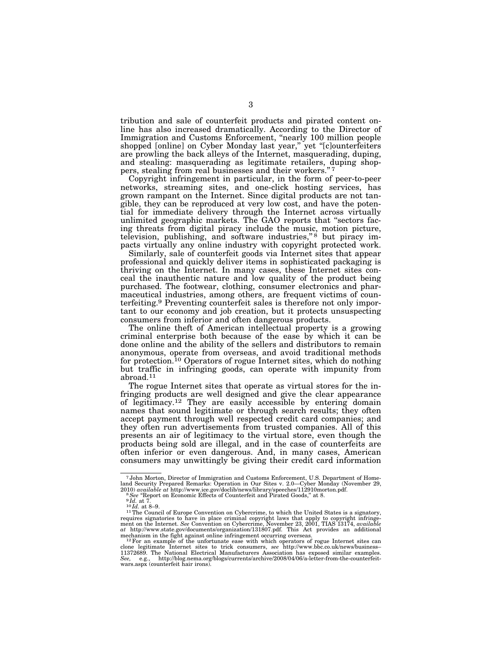tribution and sale of counterfeit products and pirated content online has also increased dramatically. According to the Director of Immigration and Customs Enforcement, "nearly 100 million people shopped [online] on Cyber Monday last year," yet "[c]ounterfeiters are prowling the back alleys of the Internet, masquerading, duping, and stealing: masquerading as legitimate retailers, duping shoppers, stealing from real businesses and their workers."7

Copyright infringement in particular, in the form of peer-to-peer networks, streaming sites, and one-click hosting services, has grown rampant on the Internet. Since digital products are not tangible, they can be reproduced at very low cost, and have the potential for immediate delivery through the Internet across virtually unlimited geographic markets. The GAO reports that ''sectors facing threats from digital piracy include the music, motion picture, television, publishing, and software industries,"<sup>8</sup> but piracy impacts virtually any online industry with copyright protected work.

Similarly, sale of counterfeit goods via Internet sites that appear professional and quickly deliver items in sophisticated packaging is thriving on the Internet. In many cases, these Internet sites conceal the inauthentic nature and low quality of the product being purchased. The footwear, clothing, consumer electronics and pharmaceutical industries, among others, are frequent victims of counterfeiting.9 Preventing counterfeit sales is therefore not only important to our economy and job creation, but it protects unsuspecting consumers from inferior and often dangerous products.

The online theft of American intellectual property is a growing criminal enterprise both because of the ease by which it can be done online and the ability of the sellers and distributors to remain anonymous, operate from overseas, and avoid traditional methods for protection.10 Operators of rogue Internet sites, which do nothing but traffic in infringing goods, can operate with impunity from abroad. $^{11}$ 

The rogue Internet sites that operate as virtual stores for the infringing products are well designed and give the clear appearance of legitimacy.12 They are easily accessible by entering domain names that sound legitimate or through search results; they often accept payment through well respected credit card companies; and they often run advertisements from trusted companies. All of this presents an air of legitimacy to the virtual store, even though the products being sold are illegal, and in the case of counterfeits are often inferior or even dangerous. And, in many cases, American consumers may unwittingly be giving their credit card information

<sup>7</sup> John Morton, Director of Immigration and Customs Enforcement, U.S. Department of Homeland Security Prepared Remarks: Operation in Our Sites v. 2.0—Cyber Monday (November 29, 2010) *available at* http://www.ice.gov/doclib/news/library/speeches/112910morton.pdf.<br><sup>9</sup>*See* "Report on Economic Effects of Count

requires signatories to have in place criminal copyright laws that apply to copyright infringe-<br>ment on the Internet. See Convention on Cybercrime, November 23, 2001, TIAS 13174, a*vailable*<br>at http://www.state.gov/documen

mechanism in the fight against online infringement occurring overseas.<br><sup>12</sup>For an example of the unfortunate ease with which operators of rogue Internet sites can<br>clone legitimate Internet sites to trick consumers, *see* h 11372689. The National Electrical Manufacturers Association has exposed similar examples.<br>*See, e.g., http://blog.nema.org/blogs/currents/archive/2008/04/06/a-letter-from-the-counterfeit-<br>wars.aspx (counterfeit hair irons)*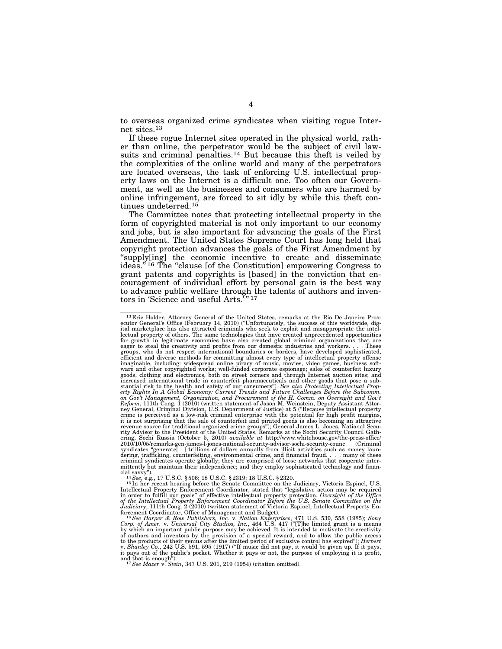to overseas organized crime syndicates when visiting rogue Internet sites.13

If these rogue Internet sites operated in the physical world, rather than online, the perpetrator would be the subject of civil lawsuits and criminal penalties.<sup>14</sup> But because this theft is veiled by the complexities of the online world and many of the perpetrators are located overseas, the task of enforcing U.S. intellectual property laws on the Internet is a difficult one. Too often our Government, as well as the businesses and consumers who are harmed by online infringement, are forced to sit idly by while this theft continues undeterred.15

The Committee notes that protecting intellectual property in the form of copyrighted material is not only important to our economy and jobs, but is also important for advancing the goals of the First Amendment. The United States Supreme Court has long held that copyright protection advances the goals of the First Amendment by ''supply[ing] the economic incentive to create and disseminate ideas."<sup>16</sup> The "clause [of the Constitution] empowering Congress to grant patents and copyrights is [based] in the conviction that encouragement of individual effort by personal gain is the best way to advance public welfare through the talents of authors and inventors in 'Science and useful Arts.'"<sup>17</sup>

<sup>13</sup> Eric Holder, Attorney General of the United States, remarks at the Rio De Janeiro Pros-ecutor General's Office (February 14, 2010) (''Unfortunately, the success of this worldwide, digital marketplace has also attracted criminals who seek to exploit and misappropriate the intellectual property of others. The same technologies that have created unprecedented opportunities for growth in legitimate economies have also created global criminal organizations that are easer to steal the creativity and profits from our domestic industries and workers.... These eager to steal the creativity and profits from our domestic industries and workers. groups, who do not respect international boundaries or borders, have developed sophisticated, efficient and diverse methods for committing almost every type of intellectual property offense imaginable, including: widespread online piracy of music, movies, video games, business software and other copyrighted works; well-funded corporate espionage; sales of counterfeit luxury goods, clothing and electronics, both on street corners and through Internet auction sites; and increased international trade in counterfeit pharmaceuticals and other goods that pose a substantial risk to the health and safety of our consumers''). *See also Protecting Intellectual Prop-erty Rights In A Global Economy: Current Trends and Future Challenges Before the Subcomm.*  on Gov't Management, Organization, and Procurement of the H. Comm. on Oversight and Gov't<br>Reform, 111th Cong. 1 (2010) (written statement of Jason M. Weinstein, Deputy Assistant Attor-<br>ney General, Criminal Division, U.S. crime is perceived as a low-risk criminal enterprise with the potential for high profit margins, it is not surprising that the sale of counterfeit and pirated goods is also becoming an attractive revenue source for traditional organized crime groups''); General James L. Jones, National Security Advisor to the President of the United States, Remarks at the Sochi Security Council Gathering, Sochi Russia (October 5, 2010) *available at* http://www.whitehouse.gov/the-press-office/ 2010/10/05/remarks-gen-james-l-jones-national-security-advisor-sochi-security-counc (Criminal syndicates "generate[ ] trillions of dollars annually from illicit activities such as money laun-<br>dering, trafficking, counterfeiting, environmental crime, and financial fraud. . . . many of these<br>criminal syndicates opera mittently but maintain their independence; and they employ sophisticated technology and finan-<br>cial savvy").

cial savvy''). 14*See*, e.g., 17 U.S.C. § 506; 18 U.S.C. § 2319; 18 U.S.C. § 2320. 15 In her recent hearing before the Senate Committee on the Judiciary, Victoria Espinel, U.S. Intellectual Property Enforcement Coordinator, stated that ''legislative action may be required in order to fulfill our goals'' of effective intellectual property protection. *Oversight of the Office of the Intellectual Property Enforcement Coordinator Before the U.S. Senate Committee on the Judiciary*, 111th Cong. 2 (2010) (written statement of Victoria Espinel, Intellectual Property En-

forcement Coordinator, Office of Management and Budget).<br><sup>16</sup>*See Harper & Row Publishers, Inc.* v. *Nation Enterprises*, 471 U.S. 539, 558 (1985); *Sony*<br>Corp. of Amer. v. Universal City Studios, Inc., 464 U.S. 417 ("[T]h of authors and inventors by the provision of a special reward, and to allow the public access<br>to the products of their genius after the limited period of exclusive control has expired"); *Herbert*<br>v. *Shanley Co.*, 242 U.S it pays out of the public's pocket. Whether it pays or not, the purpose of employing it is profit,

and that is enough''). 17*See Mazer* v. *Stein*, 347 U.S. 201, 219 (1954) (citation omitted).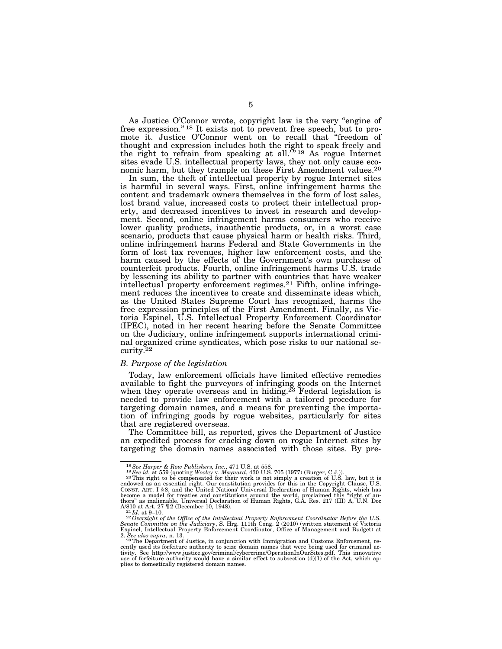As Justice O'Connor wrote, copyright law is the very ''engine of free expression."<sup>18</sup> It exists not to prevent free speech, but to promote it. Justice O'Connor went on to recall that ''freedom of thought and expression includes both the right to speak freely and the right to refrain from speaking at all.<sup>'" 19</sup> As rogue Internet sites evade U.S. intellectual property laws, they not only cause economic harm, but they trample on these First Amendment values.<sup>20</sup>

In sum, the theft of intellectual property by rogue Internet sites is harmful in several ways. First, online infringement harms the content and trademark owners themselves in the form of lost sales, lost brand value, increased costs to protect their intellectual property, and decreased incentives to invest in research and development. Second, online infringement harms consumers who receive lower quality products, inauthentic products, or, in a worst case scenario, products that cause physical harm or health risks. Third, online infringement harms Federal and State Governments in the form of lost tax revenues, higher law enforcement costs, and the harm caused by the effects of the Government's own purchase of counterfeit products. Fourth, online infringement harms U.S. trade by lessening its ability to partner with countries that have weaker intellectual property enforcement regimes.21 Fifth, online infringement reduces the incentives to create and disseminate ideas which, as the United States Supreme Court has recognized, harms the free expression principles of the First Amendment. Finally, as Victoria Espinel, U.S. Intellectual Property Enforcement Coordinator (IPEC), noted in her recent hearing before the Senate Committee on the Judiciary, online infringement supports international criminal organized crime syndicates, which pose risks to our national security.22

## *B. Purpose of the legislation*

Today, law enforcement officials have limited effective remedies available to fight the purveyors of infringing goods on the Internet when they operate overseas and in hiding.<sup>23</sup> Federal legislation is needed to provide law enforcement with a tailored procedure for targeting domain names, and a means for preventing the importation of infringing goods by rogue websites, particularly for sites that are registered overseas.

The Committee bill, as reported, gives the Department of Justice an expedited process for cracking down on rogue Internet sites by targeting the domain names associated with those sites. By pre-

<sup>&</sup>lt;sup>18</sup>See Harper & Row Publishers, Inc., 471 U.S. at 558.<br><sup>19</sup>See id. at 559 (quoting Wooley v. Maynard, 430 U.S. 705 (1977) (Burger, C.J.)).<br><sup>20</sup>This right to be compensated for their work is not simply a creation of U.S. endowed as an essential right. Our constitution provides for this in the Copyright Clause, U.S.<br>Consr. Ar.r. I §8, and the United Nations' Universal Declaration of Human Rights, which has<br>become a model for treaties and co thors" as inalienable. Universal Declaration of Human Rights, G.A. Res. 217 (III) A, U.N. Doc  $A/810$  at Art. 27 12 (December 10, 1948).

A/810 at Art. 27  $\P$  2 (December 10, 1948).<br><sup>22</sup> Id. at 9–10.<br>*22 Oversight of the Office of the Intellectual Property Enforcement Coordinator Before the U.S.*<br>*Senate Committee on the Judiciary*, S. Hrg. 111th Cong. 2 (2

<sup>2.</sup> *See also supra*, n. 13.<br><sup>23T</sup>he Department of Justice, in conjunction with Immigration and Customs Enforcement, re-<br>cently used its forfeiture authority to seize domain names that were being used for criminal activity. See http://www.justice.gov/criminal/cybercrime/OperationInOurSites.pdf. This innovative use of forfeiture authority would have a similar effect to subsection (d)(1) of the Act, which applies to domestically registered domain names.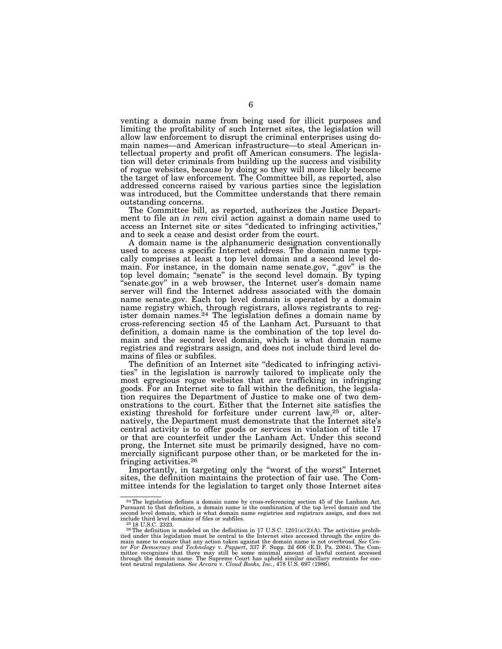venting a domain name from being used for illicit purposes and limiting the profitability of such Internet sites, the legislation will allow law enforcement to disrupt the criminal enterprises using domain names—and American infrastructure—to steal American intellectual property and profit off American consumers. The legislation will deter criminals from building up the success and visibility of rogue websites, because by doing so they will more likely become the target of law enforcement. The Committee bill, as reported, also addressed concerns raised by various parties since the legislation was introduced, but the Committee understands that there remain outstanding concerns.

The Committee bill, as reported, authorizes the Justice Department to file an *in rem* civil action against a domain name used to access an Internet site or sites ''dedicated to infringing activities,'' and to seek a cease and desist order from the court.

A domain name is the alphanumeric designation conventionally used to access a specific Internet address. The domain name typically comprises at least a top level domain and a second level domain. For instance, in the domain name senate.gov, ''.gov'' is the top level domain; ''senate'' is the second level domain. By typing "senate.gov" in a web browser, the Internet user's domain name server will find the Internet address associated with the domain name senate.gov. Each top level domain is operated by a domain name registry which, through registrars, allows registrants to register domain names.24 The legislation defines a domain name by cross-referencing section 45 of the Lanham Act. Pursuant to that definition, a domain name is the combination of the top level domain and the second level domain, which is what domain name registries and registrars assign, and does not include third level domains of files or subfiles.

The definition of an Internet site "dedicated to infringing activities'' in the legislation is narrowly tailored to implicate only the most egregious rogue websites that are trafficking in infringing goods. For an Internet site to fall within the definition, the legislation requires the Department of Justice to make one of two demonstrations to the court. Either that the Internet site satisfies the existing threshold for forfeiture under current law,<sup>25</sup> or, alternatively, the Department must demonstrate that the Internet site's central activity is to offer goods or services in violation of title 17 or that are counterfeit under the Lanham Act. Under this second prong, the Internet site must be primarily designed, have no commercially significant purpose other than, or be marketed for the infringing activities.26

Importantly, in targeting only the ''worst of the worst'' Internet sites, the definition maintains the protection of fair use. The Committee intends for the legislation to target only those Internet sites

 $^{24}$ The legislation defines a domain name by cross-referencing section 45 of the Lanham Act.<br>Pursuant to that definition, a domain name is the combination of the top level domain and the second level domain, which is wh include third level domains of files or subfiles.<br><sup>25</sup> 18 U.S.C. 2623.<br><sup>26</sup>The definition is modeled on the definition in 17 U.S.C. 1201(a)(2)(A). The activities prohib-

ited under this legislation must be central to the Internet sites accessed through the entire do-main name to ensure that any action taken against the domain name is not overbroad. *See Cen*ter For Democracy and Technology v. Pappert, 337 F. Supp. 2d 606 (E.D. Pa. 2004). The Committee recognizes that there may still be some minimal amount of lawful content accessed through the domain name. The Supreme Court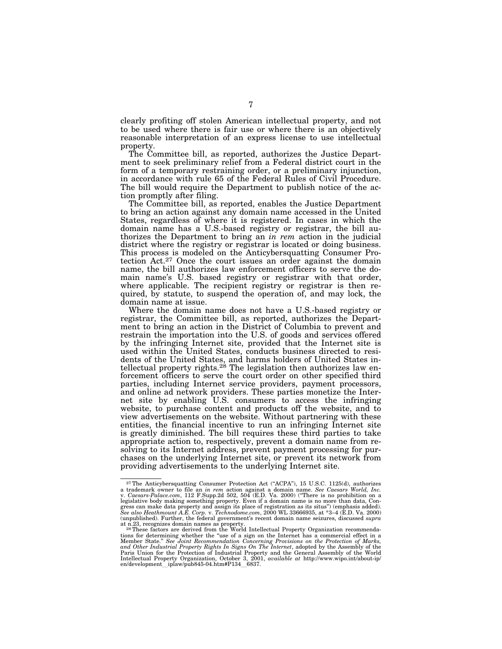clearly profiting off stolen American intellectual property, and not to be used where there is fair use or where there is an objectively reasonable interpretation of an express license to use intellectual property.

The Committee bill, as reported, authorizes the Justice Department to seek preliminary relief from a Federal district court in the form of a temporary restraining order, or a preliminary injunction, in accordance with rule 65 of the Federal Rules of Civil Procedure. The bill would require the Department to publish notice of the action promptly after filing.

The Committee bill, as reported, enables the Justice Department to bring an action against any domain name accessed in the United States, regardless of where it is registered. In cases in which the domain name has a U.S.-based registry or registrar, the bill authorizes the Department to bring an *in rem* action in the judicial district where the registry or registrar is located or doing business. This process is modeled on the Anticybersquatting Consumer Protection Act.27 Once the court issues an order against the domain name, the bill authorizes law enforcement officers to serve the domain name's U.S. based registry or registrar with that order, where applicable. The recipient registry or registrar is then required, by statute, to suspend the operation of, and may lock, the domain name at issue.

Where the domain name does not have a U.S.-based registry or registrar, the Committee bill, as reported, authorizes the Department to bring an action in the District of Columbia to prevent and restrain the importation into the U.S. of goods and services offered by the infringing Internet site, provided that the Internet site is used within the United States, conducts business directed to residents of the United States, and harms holders of United States intellectual property rights.<sup>28</sup> The legislation then authorizes law enforcement officers to serve the court order on other specified third parties, including Internet service providers, payment processors, and online ad network providers. These parties monetize the Internet site by enabling U.S. consumers to access the infringing website, to purchase content and products off the website, and to view advertisements on the website. Without partnering with these entities, the financial incentive to run an infringing Internet site is greatly diminished. The bill requires these third parties to take appropriate action to, respectively, prevent a domain name from resolving to its Internet address, prevent payment processing for purchases on the underlying Internet site, or prevent its network from providing advertisements to the underlying Internet site.

<sup>&</sup>lt;sup>27</sup>The Anticybersquatting Consumer Protection Act ("ACPA"), 15 U.S.C. 1125(d), authorizes a trademark owner to file an *in rem* action against a domain name. *See Caesars World, Inc.* v. *Caesars-Palace.com*, 112 F.Supp.2d 502, 504 (E.D. Va. 2000) (''There is no prohibition on a legislative body making something property. Even if a domain name is no more than data, Congress can make data property and assign its place of registration as its situs'') (emphasis added). *See also Heathmount A.E. Corp.* v. *Technodome.com*, 2000 WL 33666935, at \*3–4 (E.D. Va. 2000) (unpublished). Further, the federal government's recent domain name seizures, discussed *supra* 

at n.23, recognizes domain names as property. 28These factors are derived from the World Intellectual Property Organization recommendations for determining whether the "use of a sign on the Internet has a commercial effect in a<br>Member State." *See Joint Recommendation Concerning Provisions on the Protection of Marks,*<br>a*nd Other Industrial Property Right* Paris Union for the Protection of Industrial Property and the General Assembly of the World<br>Intellectual Property Organization, October 3, 2001, *available at* http://www.wipo.int/about-ip/<br>en/development\_iplaw/pub845-04.h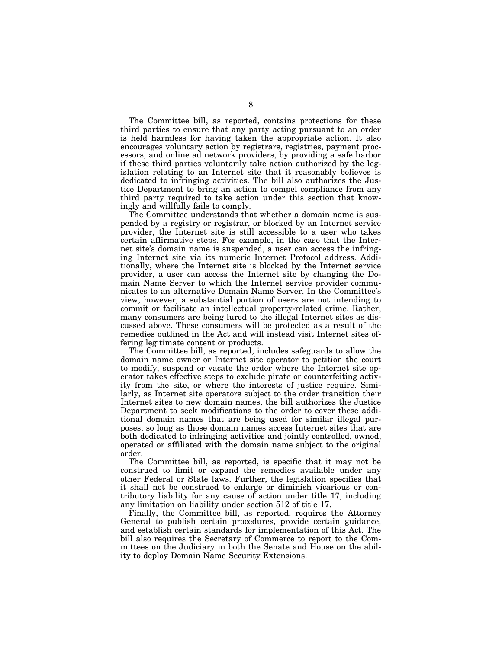The Committee bill, as reported, contains protections for these third parties to ensure that any party acting pursuant to an order is held harmless for having taken the appropriate action. It also encourages voluntary action by registrars, registries, payment processors, and online ad network providers, by providing a safe harbor if these third parties voluntarily take action authorized by the legislation relating to an Internet site that it reasonably believes is dedicated to infringing activities. The bill also authorizes the Justice Department to bring an action to compel compliance from any third party required to take action under this section that knowingly and willfully fails to comply.

The Committee understands that whether a domain name is suspended by a registry or registrar, or blocked by an Internet service provider, the Internet site is still accessible to a user who takes certain affirmative steps. For example, in the case that the Internet site's domain name is suspended, a user can access the infringing Internet site via its numeric Internet Protocol address. Additionally, where the Internet site is blocked by the Internet service provider, a user can access the Internet site by changing the Domain Name Server to which the Internet service provider communicates to an alternative Domain Name Server. In the Committee's view, however, a substantial portion of users are not intending to commit or facilitate an intellectual property-related crime. Rather, many consumers are being lured to the illegal Internet sites as discussed above. These consumers will be protected as a result of the remedies outlined in the Act and will instead visit Internet sites offering legitimate content or products.

The Committee bill, as reported, includes safeguards to allow the domain name owner or Internet site operator to petition the court to modify, suspend or vacate the order where the Internet site operator takes effective steps to exclude pirate or counterfeiting activity from the site, or where the interests of justice require. Similarly, as Internet site operators subject to the order transition their Internet sites to new domain names, the bill authorizes the Justice Department to seek modifications to the order to cover these additional domain names that are being used for similar illegal purposes, so long as those domain names access Internet sites that are both dedicated to infringing activities and jointly controlled, owned, operated or affiliated with the domain name subject to the original order.

The Committee bill, as reported, is specific that it may not be construed to limit or expand the remedies available under any other Federal or State laws. Further, the legislation specifies that it shall not be construed to enlarge or diminish vicarious or contributory liability for any cause of action under title 17, including any limitation on liability under section 512 of title 17.

Finally, the Committee bill, as reported, requires the Attorney General to publish certain procedures, provide certain guidance, and establish certain standards for implementation of this Act. The bill also requires the Secretary of Commerce to report to the Committees on the Judiciary in both the Senate and House on the ability to deploy Domain Name Security Extensions.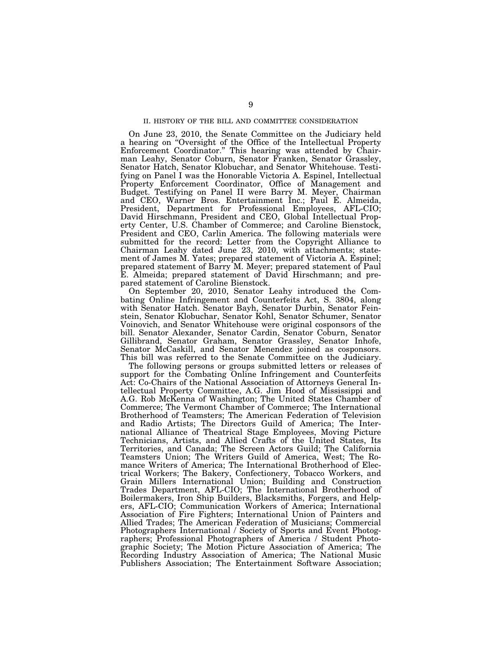## II. HISTORY OF THE BILL AND COMMITTEE CONSIDERATION

On June 23, 2010, the Senate Committee on the Judiciary held a hearing on ''Oversight of the Office of the Intellectual Property Enforcement Coordinator.'' This hearing was attended by Chairman Leahy, Senator Coburn, Senator Franken, Senator Grassley, Senator Hatch, Senator Klobuchar, and Senator Whitehouse. Testifying on Panel I was the Honorable Victoria A. Espinel, Intellectual Property Enforcement Coordinator, Office of Management and Budget. Testifying on Panel II were Barry M. Meyer, Chairman and CEO, Warner Bros. Entertainment Inc.; Paul E. Almeida, President, Department for Professional Employees, AFL-CIO; David Hirschmann, President and CEO, Global Intellectual Property Center, U.S. Chamber of Commerce; and Caroline Bienstock, President and CEO, Carlin America. The following materials were submitted for the record: Letter from the Copyright Alliance to Chairman Leahy dated June 23, 2010, with attachments; statement of James M. Yates; prepared statement of Victoria A. Espinel; prepared statement of Barry M. Meyer; prepared statement of Paul E. Almeida; prepared statement of David Hirschmann; and prepared statement of Caroline Bienstock.

On September 20, 2010, Senator Leahy introduced the Combating Online Infringement and Counterfeits Act, S. 3804, along with Senator Hatch. Senator Bayh, Senator Durbin, Senator Feinstein, Senator Klobuchar, Senator Kohl, Senator Schumer, Senator Voinovich, and Senator Whitehouse were original cosponsors of the bill. Senator Alexander, Senator Cardin, Senator Coburn, Senator Gillibrand, Senator Graham, Senator Grassley, Senator Inhofe, Senator McCaskill, and Senator Menendez joined as cosponsors. This bill was referred to the Senate Committee on the Judiciary.

The following persons or groups submitted letters or releases of support for the Combating Online Infringement and Counterfeits Act: Co-Chairs of the National Association of Attorneys General Intellectual Property Committee, A.G. Jim Hood of Mississippi and A.G. Rob McKenna of Washington; The United States Chamber of Commerce; The Vermont Chamber of Commerce; The International Brotherhood of Teamsters; The American Federation of Television and Radio Artists; The Directors Guild of America; The International Alliance of Theatrical Stage Employees, Moving Picture Technicians, Artists, and Allied Crafts of the United States, Its Territories, and Canada; The Screen Actors Guild; The California Teamsters Union; The Writers Guild of America, West; The Romance Writers of America; The International Brotherhood of Electrical Workers; The Bakery, Confectionery, Tobacco Workers, and Grain Millers International Union; Building and Construction Trades Department, AFL-CIO; The International Brotherhood of Boilermakers, Iron Ship Builders, Blacksmiths, Forgers, and Helpers, AFL-CIO; Communication Workers of America; International Association of Fire Fighters; International Union of Painters and Allied Trades; The American Federation of Musicians; Commercial Photographers International / Society of Sports and Event Photographers; Professional Photographers of America / Student Photographic Society; The Motion Picture Association of America; The Recording Industry Association of America; The National Music Publishers Association; The Entertainment Software Association;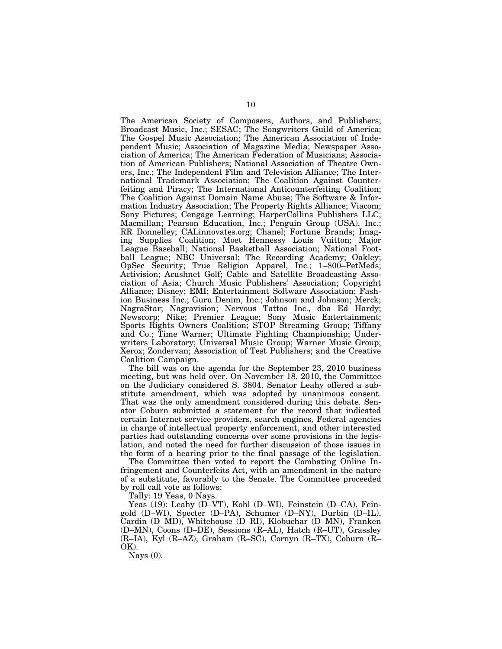The American Society of Composers, Authors, and Publishers; Broadcast Music, Inc.; SESAC; The Songwriters Guild of America; The Gospel Music Association; The American Association of Independent Music; Association of Magazine Media; Newspaper Association of America; The American Federation of Musicians; Association of American Publishers; National Association of Theatre Owners, Inc.; The Independent Film and Television Alliance; The International Trademark Association; The Coalition Against Counterfeiting and Piracy; The International Anticounterfeiting Coalition; The Coalition Against Domain Name Abuse; The Software & Information Industry Association; The Property Rights Alliance; Viacom; Sony Pictures; Cengage Learning; HarperCollins Publishers LLC; Macmillan; Pearson Education, Inc.; Penguin Group (USA), Inc.; RR Donnelley; CALinnovates.org; Chanel; Fortune Brands; Imaging Supplies Coalition; Moet Hennessy Louis Vuitton; Major League Baseball; National Basketball Association; National Football League; NBC Universal; The Recording Academy; Oakley; OpSec Security; True Religion Apparel, Inc.; 1–800–PetMeds; Activision; Acushnet Golf; Cable and Satellite Broadcasting Association of Asia; Church Music Publishers' Association; Copyright Alliance; Disney; EMI; Entertainment Software Association; Fashion Business Inc.; Guru Denim, Inc.; Johnson and Johnson; Merck; NagraStar; Nagravision; Nervous Tattoo Inc., dba Ed Hardy; Newscorp; Nike; Premier League; Sony Music Entertainment; Sports Rights Owners Coalition; STOP Streaming Group; Tiffany and Co.; Time Warner; Ultimate Fighting Championship; Underwriters Laboratory; Universal Music Group; Warner Music Group; Xerox; Zondervan; Association of Test Publishers; and the Creative Coalition Campaign.

The bill was on the agenda for the September 23, 2010 business meeting, but was held over. On November 18, 2010, the Committee on the Judiciary considered S. 3804. Senator Leahy offered a substitute amendment, which was adopted by unanimous consent. That was the only amendment considered during this debate. Senator Coburn submitted a statement for the record that indicated certain Internet service providers, search engines, Federal agencies in charge of intellectual property enforcement, and other interested parties had outstanding concerns over some provisions in the legislation, and noted the need for further discussion of those issues in the form of a hearing prior to the final passage of the legislation.

The Committee then voted to report the Combating Online Infringement and Counterfeits Act, with an amendment in the nature of a substitute, favorably to the Senate. The Committee proceeded by roll call vote as follows:

Tally: 19 Yeas, 0 Nays.

Yeas (19): Leahy (D–VT), Kohl (D–WI), Feinstein (D–CA), Feingold (D–WI), Specter (D–PA), Schumer (D–NY), Durbin (D–IL), Cardin (D–MD), Whitehouse (D–RI), Klobuchar (D–MN), Franken (D–MN), Coons (D–DE), Sessions (R–AL), Hatch (R–UT), Grassley (R–IA), Kyl (R–AZ), Graham (R–SC), Cornyn (R–TX), Coburn (R– OK).

Nays  $(0)$ .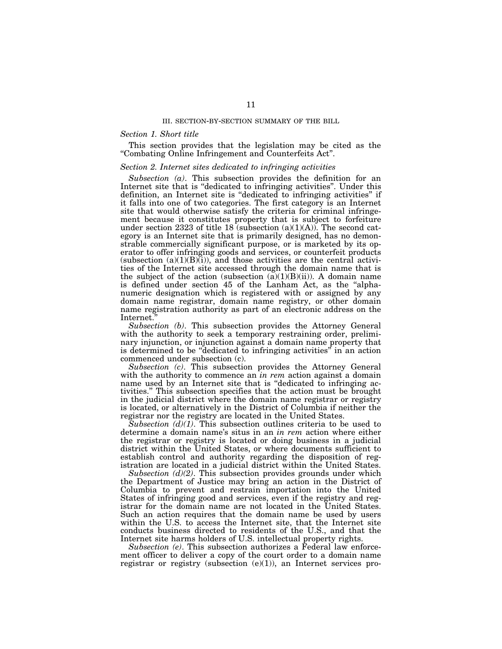#### III. SECTION-BY-SECTION SUMMARY OF THE BILL

## *Section 1. Short title*

This section provides that the legislation may be cited as the ''Combating Online Infringement and Counterfeits Act''.

### *Section 2. Internet sites dedicated to infringing activities*

*Subsection (a)*. This subsection provides the definition for an Internet site that is ''dedicated to infringing activities''. Under this definition, an Internet site is ''dedicated to infringing activities'' if it falls into one of two categories. The first category is an Internet site that would otherwise satisfy the criteria for criminal infringement because it constitutes property that is subject to forfeiture under section 2323 of title 18 (subsection  $(a)(1)(A)$ ). The second category is an Internet site that is primarily designed, has no demonstrable commercially significant purpose, or is marketed by its operator to offer infringing goods and services, or counterfeit products (subsection  $(a)(1)(B)(i)$ ), and those activities are the central activities of the Internet site accessed through the domain name that is the subject of the action (subsection  $(a)(1)(B)(ii)$ ). A domain name is defined under section 45 of the Lanham Act, as the ''alphanumeric designation which is registered with or assigned by any domain name registrar, domain name registry, or other domain name registration authority as part of an electronic address on the Internet.''

*Subsection (b)*. This subsection provides the Attorney General with the authority to seek a temporary restraining order, preliminary injunction, or injunction against a domain name property that is determined to be ''dedicated to infringing activities'' in an action commenced under subsection (c).

*Subsection (c)*. This subsection provides the Attorney General with the authority to commence an *in rem* action against a domain name used by an Internet site that is ''dedicated to infringing activities.'' This subsection specifies that the action must be brought in the judicial district where the domain name registrar or registry is located, or alternatively in the District of Columbia if neither the registrar nor the registry are located in the United States.

*Subsection (d)(1)*. This subsection outlines criteria to be used to determine a domain name's situs in an *in rem* action where either the registrar or registry is located or doing business in a judicial district within the United States, or where documents sufficient to establish control and authority regarding the disposition of registration are located in a judicial district within the United States.

*Subsection (d)(2)*. This subsection provides grounds under which the Department of Justice may bring an action in the District of Columbia to prevent and restrain importation into the United States of infringing good and services, even if the registry and registrar for the domain name are not located in the United States. Such an action requires that the domain name be used by users within the U.S. to access the Internet site, that the Internet site conducts business directed to residents of the U.S., and that the Internet site harms holders of U.S. intellectual property rights.

*Subsection (e)*. This subsection authorizes a Federal law enforcement officer to deliver a copy of the court order to a domain name registrar or registry (subsection  $(e)(1)$ ), an Internet services pro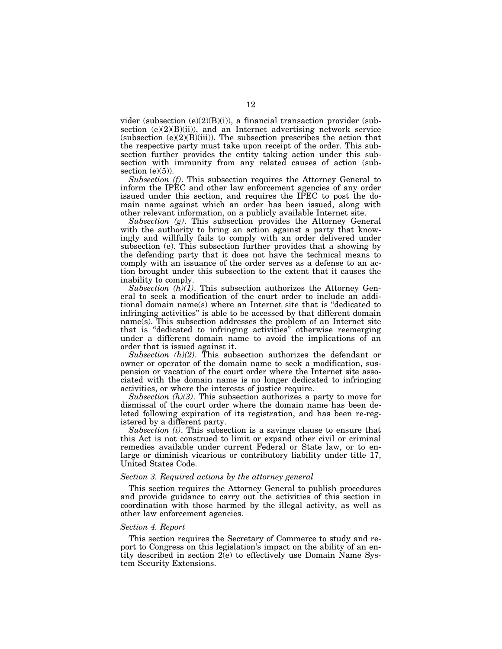vider (subsection  $(e)(2)(B)(i)$ ), a financial transaction provider (subsection (e)(2)(B)(ii)), and an Internet advertising network service (subsection  $(e)(2)(B)(iii)$ ). The subsection prescribes the action that the respective party must take upon receipt of the order. This subsection further provides the entity taking action under this subsection with immunity from any related causes of action (subsection  $(e)(5)$ ).

*Subsection (f)*. This subsection requires the Attorney General to inform the IPEC and other law enforcement agencies of any order issued under this section, and requires the IPEC to post the domain name against which an order has been issued, along with other relevant information, on a publicly available Internet site.

*Subsection (g)*. This subsection provides the Attorney General with the authority to bring an action against a party that knowingly and willfully fails to comply with an order delivered under subsection (e). This subsection further provides that a showing by the defending party that it does not have the technical means to comply with an issuance of the order serves as a defense to an action brought under this subsection to the extent that it causes the inability to comply.

*Subsection*  $(h)(1)$ *.* This subsection authorizes the Attorney General to seek a modification of the court order to include an additional domain name(s) where an Internet site that is ''dedicated to infringing activities'' is able to be accessed by that different domain name(s). This subsection addresses the problem of an Internet site that is ''dedicated to infringing activities'' otherwise reemerging under a different domain name to avoid the implications of an order that is issued against it.

*Subsection (h)(2)*. This subsection authorizes the defendant or owner or operator of the domain name to seek a modification, suspension or vacation of the court order where the Internet site associated with the domain name is no longer dedicated to infringing activities, or where the interests of justice require.

*Subsection (h)(3)*. This subsection authorizes a party to move for dismissal of the court order where the domain name has been deleted following expiration of its registration, and has been re-registered by a different party.

*Subsection (i)*. This subsection is a savings clause to ensure that this Act is not construed to limit or expand other civil or criminal remedies available under current Federal or State law, or to enlarge or diminish vicarious or contributory liability under title 17, United States Code.

#### *Section 3. Required actions by the attorney general*

This section requires the Attorney General to publish procedures and provide guidance to carry out the activities of this section in coordination with those harmed by the illegal activity, as well as other law enforcement agencies.

#### *Section 4. Report*

This section requires the Secretary of Commerce to study and report to Congress on this legislation's impact on the ability of an entity described in section 2(e) to effectively use Domain Name System Security Extensions.